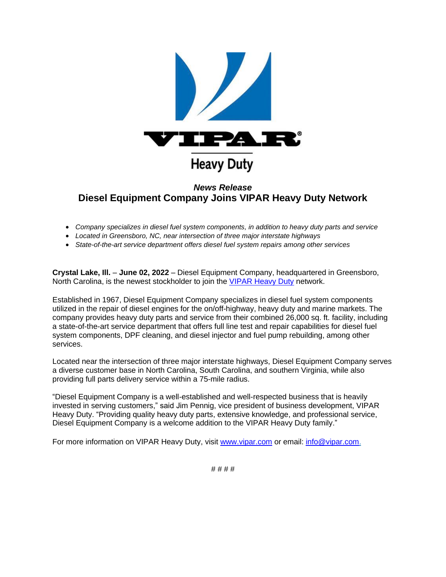

# *News Release* **Diesel Equipment Company Joins VIPAR Heavy Duty Network**

- *Company specializes in diesel fuel system components, in addition to heavy duty parts and service*
- *Located in Greensboro, NC, near intersection of three major interstate highways*
- *State-of-the-art service department offers diesel fuel system repairs among other services*

**Crystal Lake, Ill.** – **June 02, 2022** – Diesel Equipment Company, headquartered in Greensboro, North Carolina, is the newest stockholder to join the [VIPAR Heavy Duty](http://www.vipar.com/) network.

Established in 1967, Diesel Equipment Company specializes in diesel fuel system components utilized in the repair of diesel engines for the on/off-highway, heavy duty and marine markets. The company provides heavy duty parts and service from their combined 26,000 sq. ft. facility, including a state-of-the-art service department that offers full line test and repair capabilities for diesel fuel system components, DPF cleaning, and diesel injector and fuel pump rebuilding, among other services.

Located near the intersection of three major interstate highways, Diesel Equipment Company serves a diverse customer base in North Carolina, South Carolina, and southern Virginia, while also providing full parts delivery service within a 75-mile radius.

"Diesel Equipment Company is a well-established and well-respected business that is heavily invested in serving customers," said Jim Pennig, vice president of business development, VIPAR Heavy Duty. "Providing quality heavy duty parts, extensive knowledge, and professional service, Diesel Equipment Company is a welcome addition to the VIPAR Heavy Duty family."

For more information on VIPAR Heavy Duty, visit [www.vipar.com](http://www.vipar.com/) or email: [info@vipar.com.](mailto:info@vipar.com)

*# # # #*